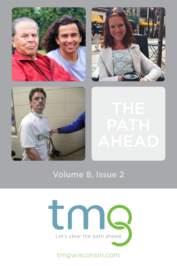





# will see him several times a week working out in the Riverview Center. Alice, one of our personal trainers, works with Jason once a week. She says the jour-THE ney with Jason over the past 2 ½ years has been both a delight and an education. Jason accepts the challenges presented to him with a strong determination and a willingness to do more. **he doesn't like excuses... if he can do it, you can do it!**  AHEAD I **What does the y mean to you?**  The Y is a place where I can work to try to get stronger so I can walk. I also enjoy

meeting other people.

up and down the stairs.

Jason joined the Y in April 2013. His hard work and dedication is an inspiration to all of the YMCA staff and one of the many reasons we have selected Jason to highlight. You

# Volume 8, Issue 2 arm and leg exercises on the Bravo and Cybex equiported and Cybex equiported and Cybex equip-



# tmgwisconsin.com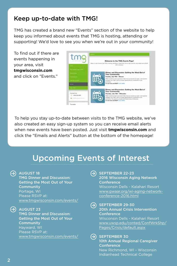# Keep up-to-date with TMG!

TMG has created a brand new "Events" section of the website to help keep you informed about events that TMG is hosting, attending or supporting! We'd love to see you when we're out in your community!

To find out if there are events happening in your area, visit **tmgwisconsin.com** and click on "Events"



To help you stay up-to-date between visits to the TMG website, we've also created an easy sign-up system so you can receive email alerts when new events have been posted. Just visit **tmgwisconsin.com** and click the "Emails and Alerts" button at the bottom of the homepage!

# Upcoming Events of Interest

## $\leftrightarrow$  AUGUST 18

TMG Dinner and Discussion: Getting the Most Out of Your **Community** Portage, WI Please RSVP at: www.tmgwisconsin.com/events/

# $\Theta$  AUGUST 23

TMG Dinner and Discussion: Getting the Most Out of Your **Community** Hayward, WI Please RSVP at: www.tmgwisconsin.com/events/ SEPTEMBER 22-23 2016 Wisconsin Aging Network **Conference** Wisconsin Dells - Kalahari Resort www.gwaar.org/wi-aging-networkconference-2016.html

 $\Theta$ SEPTEMBER 29-30 20th Annual Crisis Intervention **Conference** 

> Wisconsin Dells - Kalahari Resort www.uwsp.edu/conted/ConfWrkShp/ Pages/Crisis/default.aspx

#### $\leftrightarrow$ ) SEPTEMBER 30

10th Annual Regional Caregiver **Conference** 

New Richmond, WI - Wisconsin Indianhead Technical College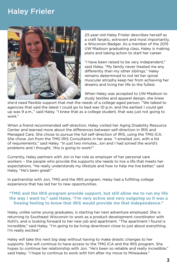# Haley Frieler



23-year-old Haley Frieler describes herself as a craft fanatic, extrovert and most importantly, a Wisconsin Badger. As a member of the 2015 UW Madison graduating class, Haley is making plans and taking action to start her career.

"I have been raised to be very independent," said Haley. "My family never treated me any differently than my other siblings." Haley remains determined to not let her spinal muscular atrophy keep her from achieving her dreams and living her life to the fullest.

When Haley was accepted to UW-Madison to study textiles and apparel design, she knew

she'd need flexible support that met the needs of a college-aged person. "We talked to agencies that said the latest I could go to bed was 10 p.m. and the earliest I could get up was 9 a.m.," said Haley. "I knew that as a college student, that was just not going to work."

When a friend recommended self-direction, Haley visited her Aging Disability Resource Center and learned more about the differences between self-direction in IRIS and Managed Care. She chose to pursue the full self-direction of IRIS, using the TMG ICA. She chose Jon from the TMG IRIS Consultants in her area. "I emailed Jon, with a list of requirements," said Haley. "In just two minutes, Jon and I had solved the world's problems and I thought, 'this is going to work!'"

Currently, Haley partners with Jon in her role as employer of her personal care workers – the people who provide the supports she needs to live a life that meets her expectations. "He really understands my lifestyle and how to help me live better," said Haley. "He's been great!"

In partnership with Jon, TMG and the IRIS program, Haley had a fulfilling college experience that has led her to new opportunities.

### **"TMG and the IRIS program provide support, but still allow me to run my life the way I want to," said Haley. "I'm very active and very outgoing so it was a freeing feeling to know that IRIS would provide me that independence."**

Haley, unlike some young graduates, is starting her next adventure employed. She is returning to Southeast Wisconsin to work as a product development coordinator with Kohl's, and is looking forward to her new job and apartment. "The apartment I found is incredible," said Haley. "I'm going to be living downtown close to just about everything. I'm really excited."

Haley will take this next big step without having to make drastic changes to her supports. She will continue to have access to the TMG ICA and the IRIS program. She hopes to continue her relationship with Jon. "He's been so reliable and really incredible," said Haley. "I hope to continue to work with him after my move to Milwaukee."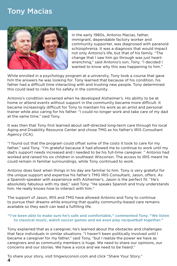# Tony Macias



In the early 1980s, Antonio Macias, father, immigrant, dependable factory worker and community supporter, was diagnosed with paranoid schizophrenia. It was a diagnosis that would impact not only Antonio's life, but that of his family. "The change that I saw him go through was just heartwrenching," said Antonio's son, Tony. "I decided I wanted to know why this was happening to him."

While enrolled in a psychology program at a university, Tony took a course that gave him the answers he was looking for. Tony learned that because of his condition, his father had a difficult time interacting with and trusting new people. Tony determined this could lead to risks for his safety in the community.

Antonio's condition worsened when he developed Alzheimer's. His ability to be at home or attend events without support in the community became more difficult. It became increasingly difficult for Tony to maintain his work as an artist and personal trainer while also caring for his father. "I could no longer work and take care of my dad at the same time," said Tony.

It was then that Tony first learned about self-directed long-term care through his local Aging and Disability Resource Center and chose TMG as his father's IRIS Consultant Agency (ICA).

"I found out that the program could offset some of the costs it took to care for my father," said Tony. "I'm grateful because it had allowed me to continue to work until my dad's support needs increased and I needed to be his full-time caregiver. " Antonio had worked and raised his six children in southeast Wisconsin. The access to IRIS meant he could remain in familiar surroundings, while Tony continued to work.

Antonio does best when things in his day are familiar to him. Tony is very grateful for the unique support and expertise his father's TMG IRIS Consultant, Jason, offers. As a Spanish-speaker with experience with Alzheimer's, Jason is the perfect fit. "He's absolutely fabulous with my dad," said Tony. "He speaks Spanish and truly understands him. He really knows how to interact with him."

The support of Jason, IRIS and TMG have allowed Antonio and Tony to continue to pursue their dreams while ensuring that quality community-based care remains available so they each can lead a fulfilling life.

#### **"I've been able to make sure he's safe and comfortable," commented Tony. "We listen to classical music, watch soccer games and we even play racquetball together."**

Tony explained that as a caregiver, he's learned about the obstacles and challenges that face individuals in similar situations. "I haven't been politically involved until I became a caregiver for my father," said Tony, "but I realize the power we have as caregivers and as community members is huge. We need to share our opinions, our concerns and our stories. We have a voice and we need to be heard."

To share your story, visit tmgwisconsin.com and click "Share Your Story." 4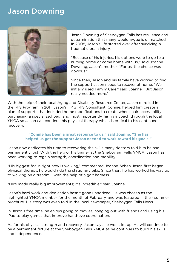### Jason Downing Sacred Heart Rehab took 4 staff members to assist me. Now I walk in my gait harness walker with 2 people helping to direct the walker. At physical therapy, Mike is assist me in an Eva walker. I still have a walker with God, but with God, but with God, but with God, but with God, but with God, but with God, but with God, but with God, bu



Jason Downing of Sheboygan Falls has resilience and determination that many would argue is unmatched. In 2008, Jason's life started over after surviving a traumatic brain injury. Alice, oriental trajers, works with Jason once a week. She says the journal trainers with  $\frac{1}{2}$ 

"Because of his injuries, his options were to go to a nursing home or come home with us," said Joanne Downing, Jason's mother. "For us, the choice was obvious."

Since then, Jason and his family have worked to find the support Jason needs to recover at home. "We inc support suson needs to recover at nome. We<br>initially used Family Care," said Joanne. "But Jason really needed more."  $\epsilon$  is a place where  $\epsilon$  is a place to the  $\epsilon$  is the stronger so  $\epsilon$  also enjoy  $\epsilon$ 

With the help of their local Aging and Disability Resource Center, Jason enrolled in the IRIS Program in 2011. Jason's TMG IRIS Consultant, Connie, helped him create a plan of supports that included home modifications to create wheelchair accessibility;<br>weakening a receptional back end meeting actually higher accept through the back purchasing a specialized bed; and most importantly, hiring a coach through the local purchasing a specialized bed, and most importantly, nining a coach through the local<br>YMCA so Jason can continue his physical therapy which is critical to his continued recovery.  $u_1, u_2, u_3, u_4, u_5, u_6, u_7, u_8, u_9, u_1, u_2, u_3, u_4, u_5, u_6, u_7, u_8, u_9, u_1, u_2, u_3, u_4, u_7, u_8, u_9, u_1, u_2, u_3, u_4, u_7, u_8, u_9, u_1, u_2, u_3, u_4, u_7, u_8, u_1, u_2, u_3, u_4, u_7, u_8, u_1, u_2, u_3, u_4, u_7, u_8, u_1, u_2, u_3, u_4, u_7,$ 

### **"Connie has been a great resource to us," said Joanne. "She has Who has influenced you at the Y?** helped us get the support Jason needed to work toward his goals."

Jason now dedicates his time to recovering the skills many doctors told him he had<br>**What goals have you at his half of his trainer at the Shakeveer Falls XMCA**, laser h permanently lost. With the help of his trainer at the Sheboygan Falls YMCA, Jason has permanently fost. With the help of his trainer at the sheppygan rails in real, sason has been working to regain strength, coordination and mobility.

"His biggest focus right now is walking," commented Joanne. When Jason first began physical therapy, he would ride the stationary bike. Since then, he has worked his way up to walking on a treadmill with the help of a gait harness.

"He's made really big improvements; it's incredible," said Joanne.

Jason's hard work and dedication hasn't gone unnoticed. He was chosen as the highlighted YMCA member for the month of February, and was featured in their summer brochure. His story was even told in the local newspaper, Sheboygan Falls News.

In Jason's free time, he enjoys going to movies, hanging out with friends and using his iPad to play games that improve hand-eye coordination.

As for his physical strength and recovery, Jason says he won't let up. He will continue to be a permanent fixture at the Sheboygan Falls YMCA as he continues to build his skills and independence.

Jason joined the Y in  $A$  in  $A$  in  $A$  in  $A$  inspiration is and dedication is an inspiration to all of all of  $\alpha$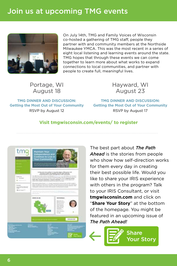# Join us at upcoming TMG events



On July 14th, TMG and Family Voices of Wisconsin co-hosted a gathering of TMG staff, people they partner with and community members at the Northside Milwaukee YMCA. This was the most recent in a series of eight local listening and learning events around the state. TMG hopes that through these events we can come together to learn more about what works to expand connections to local communities, and partner with people to create full, meaningful lives.

Portage, WI August 18

Hayward, WI August 23

**TMG DINNER AND DISCUSSION: Getting the Most Out of Your Community** RSVP by August 12

**TMG DINNER AND DISCUSSION: Getting the Most Out of Your Community** RSVP by August 17

## **Visit tmgwisconsin.com/events/ to register**



The best part about *The Path Ahead* is the stories from people who show how self-direction works for them every day in creating their best possible life. Would you like to share your IRIS experience with others in the program? Talk to your IRIS Consultant, or visit **tmgwisconsin.com** and click on "**Share Your Story**" at the bottom of the homepage. You might be featured in an upcoming issue of *The Path Ahead!*

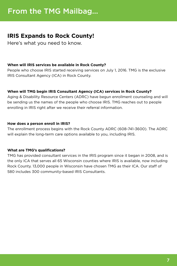# **IRIS Expands to Rock County!**

Here's what you need to know.

## **When will IRIS services be available in Rock County?**

People who choose IRIS started receiving services on July 1, 2016. TMG is the exclusive IRIS Consultant Agency (ICA) in Rock County.

### **When will TMG begin IRIS Consultant Agency (ICA) services in Rock County?**

Aging & Disability Resource Centers (ADRC) have begun enrollment counseling and will be sending us the names of the people who choose IRIS. TMG reaches out to people enrolling in IRIS right after we receive their referral information.

### **How does a person enroll in IRIS?**

The enrollment process begins with the Rock County ADRC (608-741-3600). The ADRC will explain the long-term care options available to you, including IRIS.

## **What are TMG's qualifications?**

TMG has provided consultant services in the IRIS program since it began in 2008, and is the only ICA that serves all 65 Wisconsin counties where IRIS is available, now including Rock County. 13,000 people in Wisconsin have chosen TMG as their ICA. Our staff of 580 includes 300 community-based IRIS Consultants.